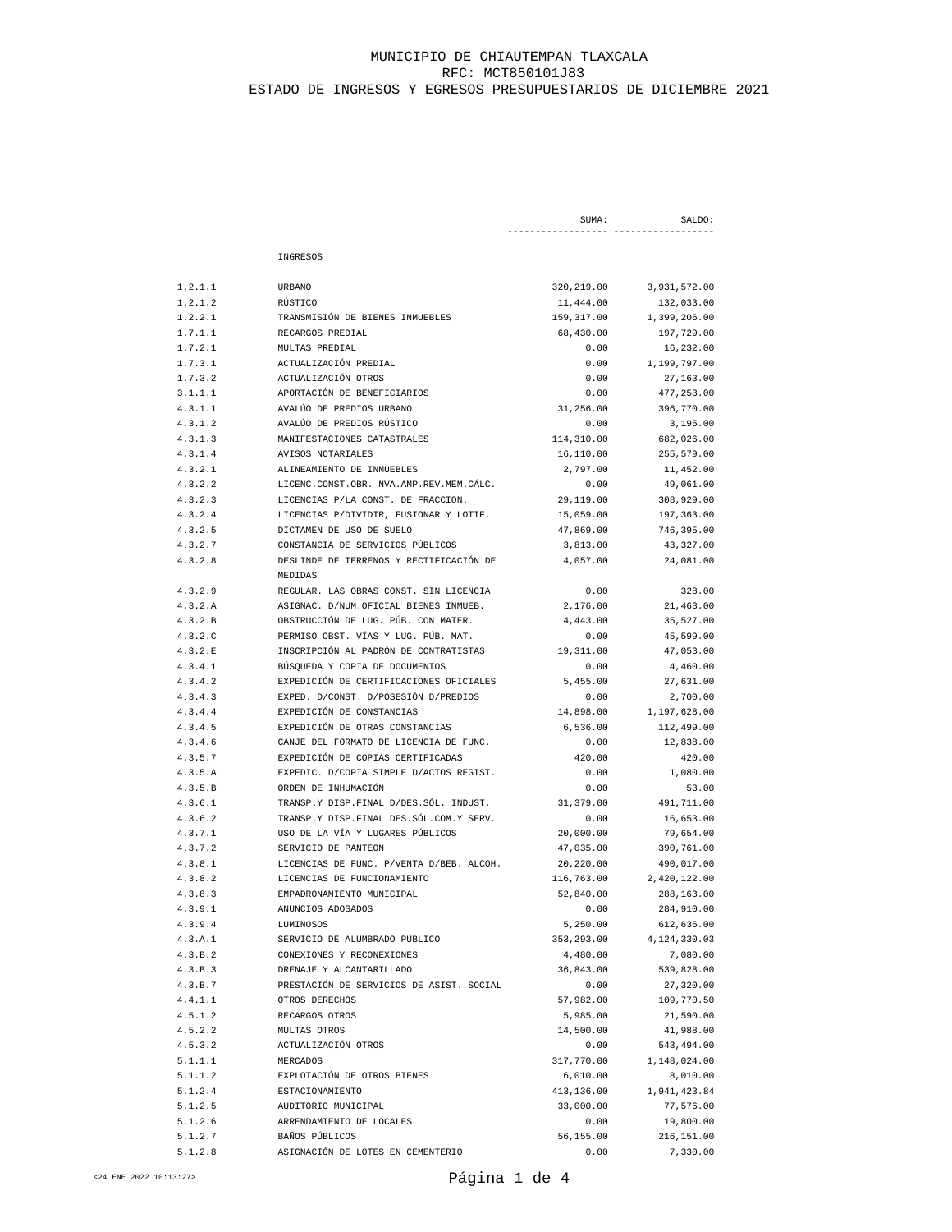|         |                                          | SUMA:      | SALDO:       |
|---------|------------------------------------------|------------|--------------|
|         |                                          |            |              |
|         | INGRESOS                                 |            |              |
| 1.2.1.1 | URBANO                                   | 320,219.00 | 3,931,572.00 |
| 1.2.1.2 | RÚSTICO                                  | 11,444.00  | 132,033.00   |
| 1.2.2.1 | TRANSMISIÓN DE BIENES INMUEBLES          | 159,317.00 | 1,399,206.00 |
| 1.7.1.1 | RECARGOS PREDIAL                         | 68,430.00  | 197,729.00   |
| 1.7.2.1 | MULTAS PREDIAL                           | 0.00       | 16,232.00    |
| 1.7.3.1 | ACTUALIZACIÓN PREDIAL                    | 0.00       | 1,199,797.00 |
| 1.7.3.2 | ACTUALIZACIÓN OTROS                      | 0.00       | 27,163.00    |
| 3.1.1.1 | APORTACIÓN DE BENEFICIARIOS              | 0.00       | 477,253.00   |
| 4.3.1.1 | AVALÚO DE PREDIOS URBANO                 | 31,256.00  | 396,770.00   |
| 4.3.1.2 | AVALÚO DE PREDIOS RÚSTICO                | 0.00       | 3,195.00     |
| 4.3.1.3 | MANIFESTACIONES CATASTRALES              | 114,310.00 | 682,026.00   |
| 4.3.1.4 | AVISOS NOTARIALES                        | 16,110.00  | 255,579.00   |
| 4.3.2.1 | ALINEAMIENTO DE INMUEBLES                | 2,797.00   | 11,452.00    |
| 4.3.2.2 | LICENC.CONST.OBR. NVA.AMP.REV.MEM.CÁLC.  | 0.00       | 49,061.00    |
| 4.3.2.3 | LICENCIAS P/LA CONST. DE FRACCION.       | 29,119.00  | 308,929.00   |
| 4.3.2.4 | LICENCIAS P/DIVIDIR, FUSIONAR Y LOTIF.   | 15,059.00  | 197,363.00   |
| 4.3.2.5 | DICTAMEN DE USO DE SUELO                 | 47,869.00  | 746,395.00   |
| 4.3.2.7 | CONSTANCIA DE SERVICIOS PÚBLICOS         | 3,813.00   | 43,327.00    |
| 4.3.2.8 | DESLINDE DE TERRENOS Y RECTIFICACIÓN DE  | 4,057.00   | 24,081.00    |
|         | MEDIDAS                                  |            |              |
| 4.3.2.9 | REGULAR. LAS OBRAS CONST. SIN LICENCIA   | 0.00       | 328.00       |
| 4.3.2.A | ASIGNAC. D/NUM.OFICIAL BIENES INMUEB.    | 2,176.00   | 21,463.00    |
| 4.3.2.B | OBSTRUCCIÓN DE LUG. PÚB. CON MATER.      | 4,443.00   | 35,527.00    |
| 4.3.2.C | PERMISO OBST. VÍAS Y LUG. PÚB. MAT.      | 0.00       | 45,599.00    |
| 4.3.2.E | INSCRIPCIÓN AL PADRÓN DE CONTRATISTAS    | 19,311.00  | 47,053.00    |
| 4.3.4.1 | BÚSQUEDA Y COPIA DE DOCUMENTOS           | 0.00       | 4,460.00     |
| 4.3.4.2 | EXPEDICIÓN DE CERTIFICACIONES OFICIALES  | 5,455.00   | 27,631.00    |
| 4.3.4.3 | EXPED. D/CONST. D/POSESIÓN D/PREDIOS     | 0.00       | 2,700.00     |
| 4.3.4.4 | EXPEDICIÓN DE CONSTANCIAS                | 14,898.00  | 1,197,628.00 |
| 4.3.4.5 | EXPEDICIÓN DE OTRAS CONSTANCIAS          | 6,536.00   | 112,499.00   |
| 4.3.4.6 | CANJE DEL FORMATO DE LICENCIA DE FUNC.   | 0.00       | 12,838.00    |
| 4.3.5.7 | EXPEDICIÓN DE COPIAS CERTIFICADAS        | 420.00     | 420.00       |
| 4.3.5.A | EXPEDIC. D/COPIA SIMPLE D/ACTOS REGIST.  | 0.00       | 1,080.00     |
| 4.3.5.B | ORDEN DE INHUMACIÓN                      | 0.00       | 53.00        |
| 4.3.6.1 | TRANSP.Y DISP.FINAL D/DES.SÓL. INDUST.   | 31,379.00  | 491,711.00   |
| 4.3.6.2 | TRANSP.Y DISP.FINAL DES.SÓL.COM.Y SERV.  | 0.00       | 16,653.00    |
| 4.3.7.1 | USO DE LA VÍA Y LUGARES PÚBLICOS         | 20,000.00  | 79,654.00    |
| 4.3.7.2 | SERVICIO DE PANTEON                      | 47,035.00  | 390,761.00   |
| 4.3.8.1 | LICENCIAS DE FUNC. P/VENTA D/BEB. ALCOH. | 20,220.00  | 490,017.00   |
| 4.3.8.2 | LICENCIAS DE FUNCIONAMIENTO              | 116,763.00 | 2,420,122.00 |
| 4.3.8.3 | EMPADRONAMIENTO MUNICIPAL                | 52,840.00  | 288,163.00   |
| 4.3.9.1 | ANUNCIOS ADOSADOS                        | 0.00       | 284,910.00   |
| 4.3.9.4 | LUMINOSOS                                | 5,250.00   | 612,636.00   |
| 4.3.A.1 | SERVICIO DE ALUMBRADO PÚBLICO            | 353,293.00 | 4,124,330.03 |
| 4.3.B.2 | CONEXIONES Y RECONEXIONES                | 4,480.00   | 7,080.00     |
| 4.3.B.3 | DRENAJE Y ALCANTARILLADO                 | 36,843.00  | 539,828.00   |
| 4.3.B.7 | PRESTACIÓN DE SERVICIOS DE ASIST. SOCIAL | 0.00       | 27,320.00    |
| 4.4.1.1 | OTROS DERECHOS                           | 57,982.00  | 109,770.50   |
| 4.5.1.2 | RECARGOS OTROS                           | 5,985.00   | 21,590.00    |
| 4.5.2.2 | MULTAS OTROS                             | 14,500.00  | 41,988.00    |
| 4.5.3.2 | ACTUALIZACIÓN OTROS                      | 0.00       | 543,494.00   |
| 5.1.1.1 | MERCADOS                                 | 317,770.00 | 1,148,024.00 |
| 5.1.1.2 | EXPLOTACIÓN DE OTROS BIENES              | 6,010.00   | 8,010.00     |
| 5.1.2.4 | ESTACIONAMIENTO                          | 413,136.00 | 1,941,423.84 |
| 5.1.2.5 | AUDITORIO MUNICIPAL                      | 33,000.00  | 77,576.00    |
| 5.1.2.6 | ARRENDAMIENTO DE LOCALES                 | 0.00       | 19,800.00    |
| 5.1.2.7 | BAÑOS PÚBLICOS                           | 56,155.00  | 216,151.00   |
| 5.1.2.8 | ASIGNACIÓN DE LOTES EN CEMENTERIO        | 0.00       | 7,330.00     |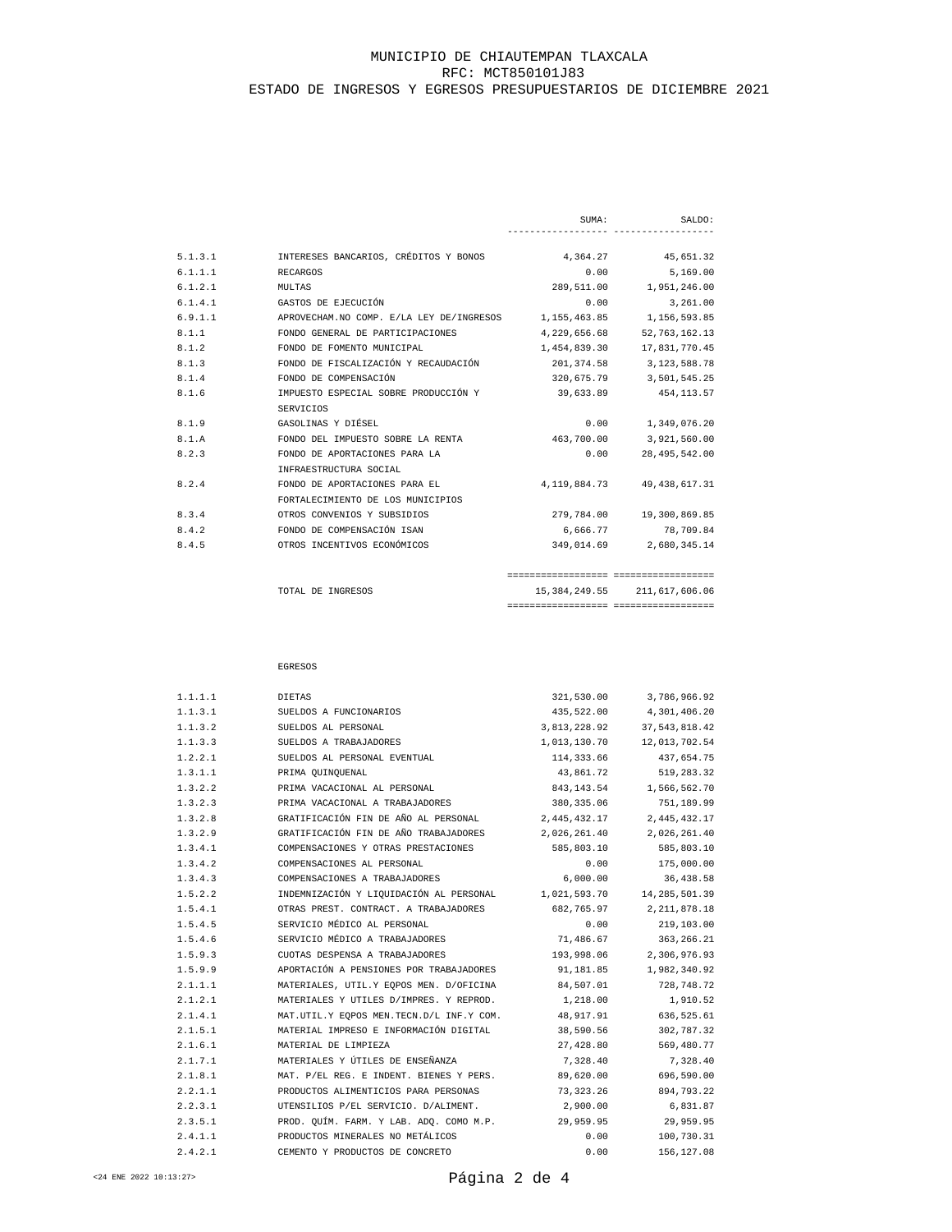|         |                 |                                                                     | SUMA:        | SALDO:                           |
|---------|-----------------|---------------------------------------------------------------------|--------------|----------------------------------|
|         |                 |                                                                     |              |                                  |
| 5.1.3.1 |                 | INTERESES BANCARIOS, CRÉDITOS Y BONOS 4,364.27 45,651.32            |              |                                  |
| 6.1.1.1 | <b>RECARGOS</b> |                                                                     |              | $0.00$ 5,169.00                  |
| 6.1.2.1 | MULTAS          |                                                                     |              | 289,511.00 1,951,246.00          |
| 6.1.4.1 |                 | GASTOS DE EJECUCIÓN                                                 | 0.00         | 3,261.00                         |
| 6.9.1.1 |                 | APROVECHAM. NO COMP. E/LA LEY DE/INGRESOS 1,155,463.85 1,156,593.85 |              |                                  |
| 8.1.1   |                 | FONDO GENERAL DE PARTICIPACIONES                                    | 4,229,656.68 | 52, 763, 162. 13                 |
| 8.1.2   |                 | FONDO DE FOMENTO MUNICIPAL                                          | 1,454,839.30 | 17,831,770.45                    |
| 8.1.3   |                 | FONDO DE FISCALIZACIÓN Y RECAUDACIÓN                                |              | 201, 374.58 3, 123, 588.78       |
| 8.1.4   |                 | FONDO DE COMPENSACIÓN                                               | 320.675.79   | 3,501,545.25                     |
| 8.1.6   |                 | IMPUESTO ESPECIAL SOBRE PRODUCCIÓN Y                                |              | 39,633.89 454,113.57             |
|         | SERVICIOS       |                                                                     |              |                                  |
| 8.1.9   |                 | GASOLINAS Y DIÉSEL                                                  |              | $0.00$ 1,349,076.20              |
| 8.1.A   |                 | FONDO DEL IMPUESTO SOBRE LA RENTA                                   | 463,700.00   | 3,921,560.00                     |
| 8.2.3   |                 | FONDO DE APORTACIONES PARA LA                                       | 0.00         | 28, 495, 542, 00                 |
|         |                 | INFRAESTRUCTURA SOCIAL                                              |              |                                  |
| 8.2.4   |                 | FONDO DE APORTACIONES PARA EL                                       |              | 4, 119, 884. 73 49, 438, 617. 31 |
|         |                 | FORTALECIMIENTO DE LOS MUNICIPIOS                                   |              |                                  |
| 8.3.4   |                 | OTROS CONVENIOS Y SUBSIDIOS                                         |              | 279,784.00 19,300,869.85         |
| 8.4.2   |                 | FONDO DE COMPENSACIÓN ISAN                                          | 6,666.77     | 78,709.84                        |
| 8.4.5   |                 | OTROS INCENTIVOS ECONÓMICOS                                         |              | 349,014.69 2,680,345.14          |
|         |                 |                                                                     |              |                                  |
|         |                 | TOTAL DE INGRESOS                                                   |              | 15, 384, 249.55 211, 617, 606.06 |

================== ==================

## EGRESOS

| 1.1.1.1 | <b>DIETAS</b>                                          | 321,530.00   | 3,786,966.92            |
|---------|--------------------------------------------------------|--------------|-------------------------|
| 1.1.3.1 | SUELDOS A FUNCIONARIOS                                 | 435,522.00   | 4,301,406.20            |
| 1.1.3.2 | SUELDOS AL PERSONAL                                    | 3,813,228.92 | 37, 543, 818.42         |
| 1.1.3.3 | SUELDOS A TRABAJADORES                                 | 1,013,130.70 | 12,013,702.54           |
| 1.2.2.1 | SUELDOS AL PERSONAL EVENTUAL                           | 114,333.66   | 437,654.75              |
| 1.3.1.1 | PRIMA OUINOUENAL                                       | 43,861.72    | 519,283.32              |
| 1.3.2.2 | PRIMA VACACIONAL AL PERSONAL                           | 843, 143.54  | 1,566,562.70            |
| 1.3.2.3 | PRIMA VACACIONAL A TRABAJADORES                        | 380,335.06   | 751,189.99              |
| 1.3.2.8 | GRATIFICACIÓN FIN DE AÑO AL PERSONAL 2,445,432.17      |              | 2, 445, 432.17          |
| 1.3.2.9 | GRATIFICACIÓN FIN DE AÑO TRABAJADORES 2,026,261.40     |              | 2,026,261.40            |
| 1.3.4.1 | COMPENSACIONES Y OTRAS PRESTACIONES                    | 585,803.10   | 585,803.10              |
| 1.3.4.2 | COMPENSACIONES AL PERSONAL                             | 0.00         | 175,000.00              |
| 1.3.4.3 | COMPENSACIONES A TRABAJADORES                          | 6,000.00     | 36,438.58               |
| 1.5.2.2 | INDEMNIZACIÓN Y LIQUIDACIÓN AL PERSONAL $1,021,593.70$ |              | 14, 285, 501.39         |
| 1.5.4.1 | OTRAS PREST. CONTRACT. A TRABAJADORES                  |              | 682,765.97 2,211,878.18 |
| 1.5.4.5 | SERVICIO MÉDICO AL PERSONAL                            | 0.00         | 219,103.00              |
| 1.5.4.6 | SERVICIO MÉDICO A TRABAJADORES                         | 71,486.67    | 363,266.21              |
| 1.5.9.3 | CUOTAS DESPENSA A TRABAJADORES                         | 193,998.06   | 2,306,976.93            |
| 1.5.9.9 | APORTACIÓN A PENSIONES POR TRABAJADORES                | 91,181.85    | 1,982,340.92            |
| 2.1.1.1 | MATERIALES, UTIL.Y EQPOS MEN. D/OFICINA 84,507.01      |              | 728,748.72              |
| 2.1.2.1 | MATERIALES Y UTILES D/IMPRES. Y REPROD. 1,218.00       |              | 1,910.52                |
| 2.1.4.1 | MAT.UTIL.Y EQPOS MEN.TECN.D/L INF.Y COM.               | 48,917.91    | 636,525.61              |
| 2.1.5.1 | MATERIAL IMPRESO E INFORMACIÓN DIGITAL                 | 38,590.56    | 302,787.32              |
| 2.1.6.1 | MATERIAL DE LIMPIEZA                                   | 27,428.80    | 569,480.77              |
| 2.1.7.1 | MATERIALES Y ÚTILES DE ENSEÑANZA                       | 7,328.40     | 7,328.40                |
| 2.1.8.1 | MAT. P/EL REG. E INDENT. BIENES Y PERS.                | 89,620.00    | 696,590.00              |
| 2.2.1.1 | PRODUCTOS ALIMENTICIOS PARA PERSONAS                   | 73, 323. 26  | 894,793.22              |
| 2.2.3.1 | UTENSILIOS P/EL SERVICIO. D/ALIMENT.                   | 2,900.00     | 6,831.87                |
| 2.3.5.1 | PROD. QUÍM. FARM. Y LAB. ADO. COMO M.P.                | 29,959.95    | 29,959.95               |
| 2.4.1.1 | PRODUCTOS MINERALES NO METÁLICOS                       | 0.00         | 100,730.31              |
| 2.4.2.1 | CEMENTO Y PRODUCTOS DE CONCRETO                        | 0.00         | 156,127.08              |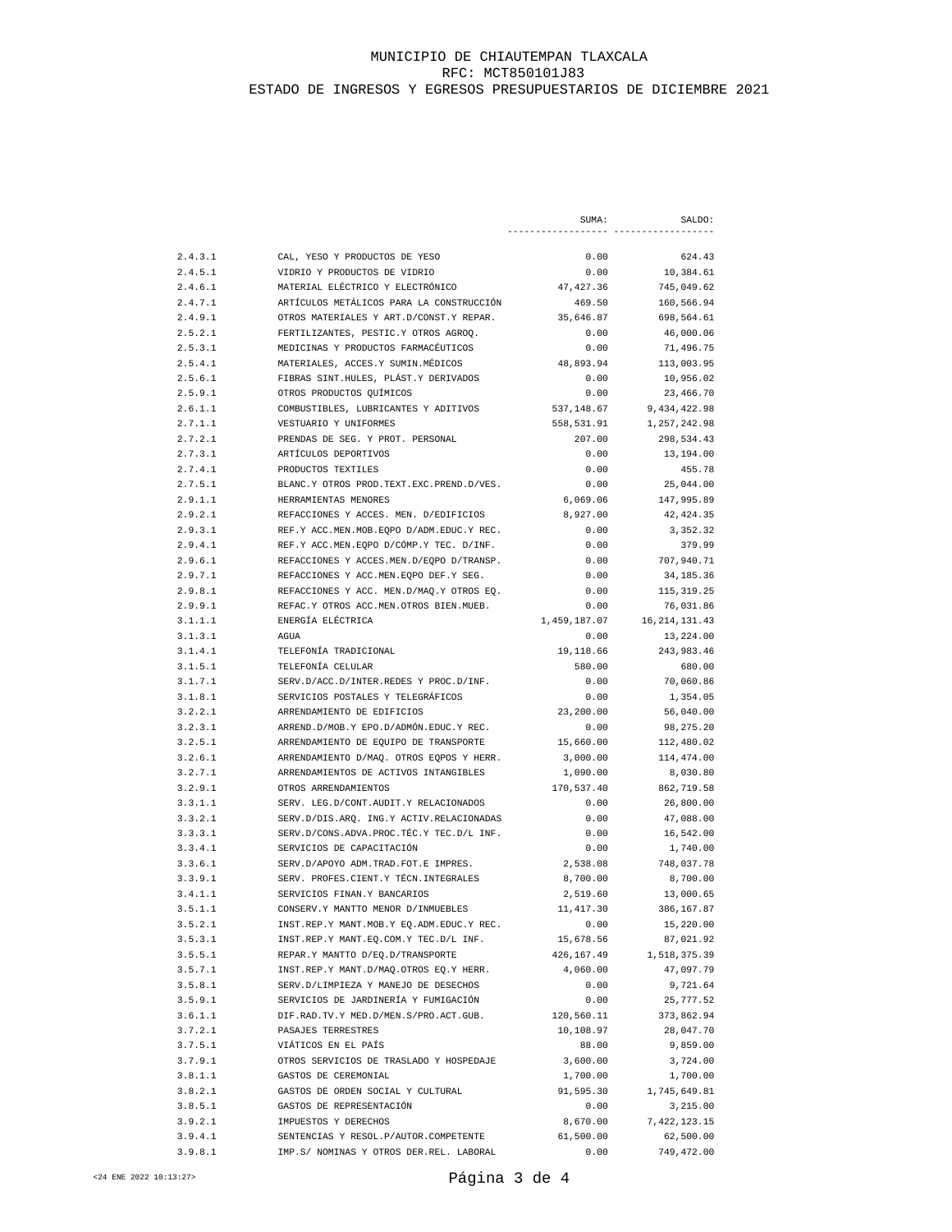|                    |                                                             | SUMA:                   | SALDO:                   |
|--------------------|-------------------------------------------------------------|-------------------------|--------------------------|
|                    |                                                             |                         |                          |
| 2.4.3.1            | CAL, YESO Y PRODUCTOS DE YESO                               | 0.00                    | 624.43                   |
| 2.4.5.1            | VIDRIO Y PRODUCTOS DE VIDRIO                                | 0.00                    | 10,384.61                |
| 2.4.6.1            | MATERIAL ELÉCTRICO Y ELECTRÓNICO                            | 47,427.36               | 745,049.62               |
| 2.4.7.1            | ARTÍCULOS METÁLICOS PARA LA CONSTRUCCIÓN                    | 469.50                  | 160,566.94               |
| 2.4.9.1            | OTROS MATERIALES Y ART.D/CONST.Y REPAR.                     | 35,646.87               | 698,564.61               |
| 2.5.2.1            | FERTILIZANTES, PESTIC.Y OTROS AGROQ.                        | 0.00                    | 46,000.06                |
| 2.5.3.1            | MEDICINAS Y PRODUCTOS FARMACÉUTICOS                         | 0.00                    | 71,496.75                |
| 2.5.4.1            | MATERIALES, ACCES.Y SUMIN.MÉDICOS                           | 48,893.94               | 113,003.95               |
| 2.5.6.1            | FIBRAS SINT.HULES, PLÁST.Y DERIVADOS                        | 0.00                    | 10,956.02                |
| 2.5.9.1            | OTROS PRODUCTOS QUÍMICOS                                    | 0.00                    | 23,466.70                |
| 2.6.1.1            | COMBUSTIBLES, LUBRICANTES Y ADITIVOS                        | 537,148.67              | 9,434,422.98             |
| 2.7.1.1            | VESTUARIO Y UNIFORMES                                       | 558,531.91              | 1,257,242.98             |
| 2.7.2.1            | PRENDAS DE SEG. Y PROT. PERSONAL                            | 207.00                  | 298,534.43               |
| 2.7.3.1            | ARTÍCULOS DEPORTIVOS                                        | 0.00                    | 13,194.00                |
| 2.7.4.1            | PRODUCTOS TEXTILES                                          | 0.00                    | 455.78                   |
| 2.7.5.1            | BLANC.Y OTROS PROD.TEXT.EXC.PREND.D/VES.                    | 0.00                    | 25,044.00                |
| 2.9.1.1            | HERRAMIENTAS MENORES                                        | 6,069.06                | 147,995.89               |
| 2.9.2.1            | REFACCIONES Y ACCES. MEN. D/EDIFICIOS                       | 8,927.00                | 42,424.35                |
| 2.9.3.1            | REF.Y ACC.MEN.MOB.EQPO D/ADM.EDUC.Y REC.                    | 0.00                    | 3,352.32                 |
| 2.9.4.1            | REF.Y ACC.MEN.EQPO D/CÓMP.Y TEC. D/INF.                     | 0.00                    | 379.99                   |
| 2.9.6.1            | REFACCIONES Y ACCES.MEN.D/EQPO D/TRANSP.                    | 0.00                    | 707,940.71               |
| 2.9.7.1            | REFACCIONES Y ACC.MEN.EQPO DEF.Y SEG.                       | 0.00                    | 34,185.36                |
| 2.9.8.1            | REFACCIONES Y ACC. MEN.D/MAQ.Y OTROS EQ.                    | 0.00                    | 115, 319.25<br>76,031.86 |
| 2.9.9.1<br>3.1.1.1 | REFAC.Y OTROS ACC.MEN.OTROS BIEN.MUEB.<br>ENERGÍA ELÉCTRICA | 0.00<br>1,459,187.07    | 16, 214, 131. 43         |
| 3.1.3.1            | AGUA                                                        | 0.00                    | 13,224.00                |
| 3.1.4.1            | TELEFONÍA TRADICIONAL                                       | 19,118.66               | 243,983.46               |
| 3.1.5.1            | TELEFONÍA CELULAR                                           | 580.00                  | 680.00                   |
| 3.1.7.1            | SERV.D/ACC.D/INTER.REDES Y PROC.D/INF.                      | 0.00                    | 70,060.86                |
| 3.1.8.1            | SERVICIOS POSTALES Y TELEGRÁFICOS                           | 0.00                    | 1,354.05                 |
| 3.2.2.1            | ARRENDAMIENTO DE EDIFICIOS                                  | 23,200.00               | 56,040.00                |
| 3.2.3.1            | ARREND.D/MOB.Y EPO.D/ADMÓN.EDUC.Y REC.                      | 0.00                    | 98,275.20                |
| 3.2.5.1            | ARRENDAMIENTO DE EQUIPO DE TRANSPORTE                       | 15,660.00               | 112,480.02               |
| 3.2.6.1            | ARRENDAMIENTO D/MAQ. OTROS EQPOS Y HERR.                    | 3,000.00                | 114,474.00               |
| 3.2.7.1            | ARRENDAMIENTOS DE ACTIVOS INTANGIBLES                       | 1,090.00                | 8,030.80                 |
| 3.2.9.1            | OTROS ARRENDAMIENTOS                                        | 170,537.40              | 862,719.58               |
| 3.3.1.1            | SERV. LEG.D/CONT.AUDIT.Y RELACIONADOS                       | 0.00                    | 26,800.00                |
| 3.3.2.1            | SERV.D/DIS.ARQ. ING.Y ACTIV.RELACIONADAS                    | 0.00                    | 47,088.00                |
| 3.3.3.1            | SERV.D/CONS.ADVA.PROC.TÉC.Y TEC.D/L INF.                    | 0.00                    | 16,542.00                |
| 3.3.4.1            | SERVICIOS DE CAPACITACIÓN                                   | 0.00                    | 1,740.00                 |
| 3.3.6.1            | SERV.D/APOYO ADM.TRAD.FOT.E IMPRES.                         | 2,538.08                | 748,037.78               |
| 3.3.9.1            | SERV. PROFES. CIENT. Y TÉCN. INTEGRALES                     | 8,700.00                | 8,700.00                 |
| 3.4.1.1            | SERVICIOS FINAN. Y BANCARIOS                                | 2,519.60                | 13,000.65                |
| 3.5.1.1            | CONSERV.Y MANTTO MENOR D/INMUEBLES                          | 11,417.30               | 386,167.87               |
| 3.5.2.1            | INST.REP.Y MANT.MOB.Y EQ.ADM.EDUC.Y REC.                    | 0.00                    | 15,220.00                |
| 3.5.3.1            | INST.REP.Y MANT.EQ.COM.Y TEC.D/L INF.                       | 15,678.56               | 87,021.92                |
| 3.5.5.1            | REPAR.Y MANTTO D/EQ.D/TRANSPORTE                            | 426,167.49              | 1,518,375.39             |
| 3.5.7.1            | INST.REP.Y MANT.D/MAQ.OTROS EQ.Y HERR.                      | 4,060.00                | 47,097.79                |
| 3.5.8.1            | SERV.D/LIMPIEZA Y MANEJO DE DESECHOS                        | 0.00                    | 9,721.64                 |
| 3.5.9.1            | SERVICIOS DE JARDINERÍA Y FUMIGACIÓN                        | 0.00                    | 25,777.52                |
| 3.6.1.1<br>3.7.2.1 | DIF.RAD.TV.Y MED.D/MEN.S/PRO.ACT.GUB.<br>PASAJES TERRESTRES | 120,560.11<br>10,108.97 | 373,862.94<br>28,047.70  |
| 3.7.5.1            | VIÁTICOS EN EL PAÍS                                         | 88.00                   | 9,859.00                 |
| 3.7.9.1            | OTROS SERVICIOS DE TRASLADO Y HOSPEDAJE                     | 3,600.00                | 3,724.00                 |
| 3.8.1.1            | GASTOS DE CEREMONIAL                                        | 1,700.00                | 1,700.00                 |
| 3.8.2.1            | GASTOS DE ORDEN SOCIAL Y CULTURAL                           | 91,595.30               | 1,745,649.81             |
| 3.8.5.1            | GASTOS DE REPRESENTACIÓN                                    | 0.00                    | 3,215.00                 |
| 3.9.2.1            | IMPUESTOS Y DERECHOS                                        | 8,670.00                | 7,422,123.15             |
| 3.9.4.1            | SENTENCIAS Y RESOL. P/AUTOR. COMPETENTE                     | 61,500.00               | 62,500.00                |
| 3.9.8.1            | IMP.S/ NOMINAS Y OTROS DER.REL. LABORAL                     | 0.00                    | 749,472.00               |